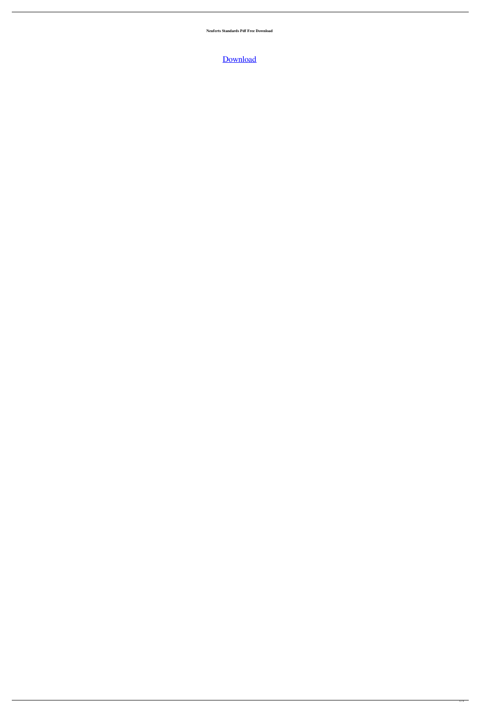**Neuferts Standards Pdf Free Download**

[Download](http://evacdir.com/arabian/brimmer/corpuscles.premiering?ZG93bmxvYWR8dWM1WmpKc2MzeDhNVFkxTlRnME1qazRNWHg4TWpVNU1IeDhLRTBwSUZkdmNtUndjbVZ6Y3lCYldFMU1VbEJESUZZeUlGQkVSbDA=hammerstrom=bmV1ZmVydHMgc3RhbmRhcmRzIHBkZiBmcmVlIGRvd25sb2FkbmV&nitride=torso)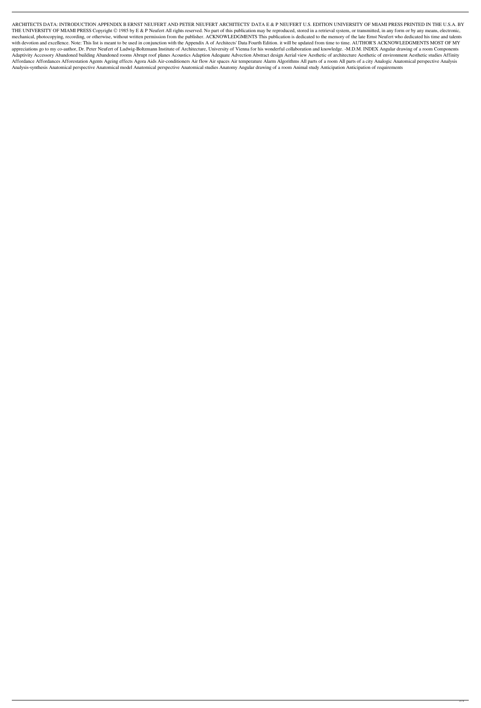ARCHITECTS DATA: INTRODUCTION APPENDIX B ERNST NEUFERT AND PETER NEUFERT ARCHITECTS' DATA E & P NEUFERT U.S. EDITION UNIVERSITY OF MIAMI PRESS PRINTED IN THE U.S.A. BY THE UNIVERSITY OF MIAMI PRESS Copyright © 1985 by E & P Neufert All rights reserved. No part of this publication may be reproduced, stored in a retrieval system, or transmitted, in any form or by any means, electronic, mechanical, photocopying, recording, or otherwise, without written permission from the publisher. ACKNOWLEDGMENTS This publication is dedicated to the memory of the late Ernst Neufert who dedicated his time and talents with devotion and excellence. Note: This list is meant to be used in conjunction with the Appendix A of Architects' Data Fourth Edition. it will be updated from time to time. AUTHOR'S ACKNOWLEDGMENTS MOST OF MY appreciations go to my co-author, Dr. Peter Neufert of Ludwig-Boltzmann Institute of Architecture, University of Vienna for his wonderful collaboration and knowledge. -M.D.M. INDEX Angular drawing of a room Components Adaptivity Accessory Abandoned building Abandoned rooms Abrupt roof planes Acoustics Adaption Adequate Advection Abstract design Aerial view Aesthetic of architecture Aesthetic of environment Aesthetic studies Affinity Affordance Affordances Afforestation Agents Ageing effects Agora Aids Air-conditioners Air flow Air spaces Air temperature Alarm Algorithms All parts of a room All parts of a city Analogic Anatomical perspective Analysis Analysis-synthesis Anatomical perspective Anatomical model Anatomical perspective Anatomical studies Anatomy Angular drawing of a room Animal study Anticipation Anticipation of requirements